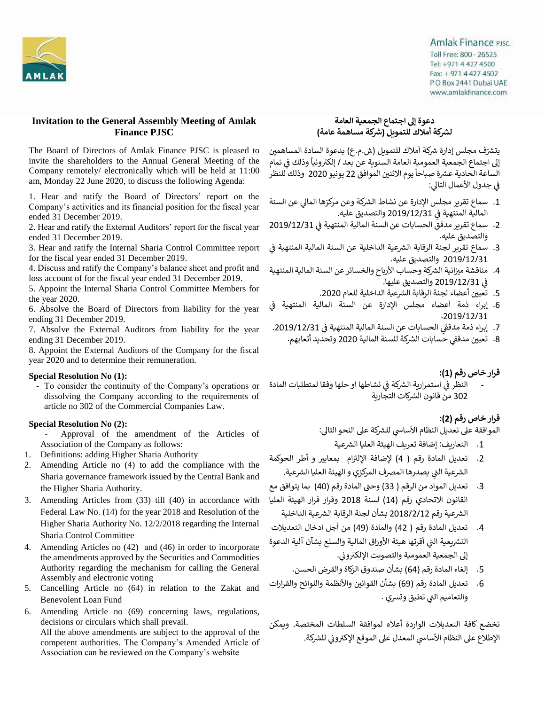

## **Invitation to the General Assembly Meeting of Amlak Finance PJSC**

The Board of Directors of Amlak Finance PJSC is pleased to invite the shareholders to the Annual General Meeting of the Company remotely/ electronically which will be held at 11:00 am, Monday 22 June 2020, to discuss the following Agenda:

1. Hear and ratify the Board of Directors' report on the Company's activities and its financial position for the fiscal year ended 31 December 2019.

2. Hear and ratify the External Auditors' report for the fiscal year ended 31 December 2019.

3. Hear and ratify the Internal Sharia Control Committee report for the fiscal year ended 31 December 2019.

4. Discuss and ratify the Company's balance sheet and profit and loss account of for the fiscal year ended 31 December 2019.

5. Appoint the Internal Sharia Control Committee Members for the year 2020.

6. Absolve the Board of Directors from liability for the year ending 31 December 2019.

7. Absolve the External Auditors from liability for the year ending 31 December 2019.

8. Appoint the External Auditors of the Company for the fiscal year 2020 and to determine their remuneration.

### **Special Resolution No (1):**

- To consider the continuity of the Company's operations or dissolving the Company according to the requirements of article no 302 of the Commercial Companies Law.

### **Special Resolution No (2):**

- Approval of the amendment of the Articles of Association of the Company as follows:
- 1. Definitions: adding Higher Sharia Authority
- 2. Amending Article no (4) to add the compliance with the Sharia governance framework issued by the Central Bank and the Higher Sharia Authority.
- 3. Amending Articles from (33) till (40) in accordance with Federal Law No. (14) for the year 2018 and Resolution of the Higher Sharia Authority No. 12/2/2018 regarding the Internal Sharia Control Committee
- 4. Amending Articles no (42) and (46) in order to incorporate the amendments approved by the Securities and Commodities Authority regarding the mechanism for calling the General Assembly and electronic voting
- 5. Cancelling Article no (64) in relation to the Zakat and Benevolent Loan Fund
- 6. Amending Article no (69) concerning laws, regulations, decisions or circulars which shall prevail. All the above amendments are subject to the approval of the competent authorities. The Company's Amended Article of Association can be reviewed on the Company's website

## **Amlak Finance PJSC.** Toll Free: 800 - 26525 Tel: +971 4 427 4500 Fax: + 971 4 427 4502 P O Box 2441 Dubai UAE www.amlakfinance.com

## **دعوة إىل اجتماع الجمعية العامة رشكة مساهمة عامة( رشكة أمالك للتمويل ) ل**

يتشرّف مجلس إدارة شركة أملاك للتمويل (ش.م.ع) بدعوة السادة المساهمين ً..<br>إلى اجتماع الجمعية العمومية العامة السنوية عن بعد / إلكترونياً وذلك في تمام å ن ً.<br>الساعة الحادية عشرة صباحاً يوم الاثنين الموافق 22 يونيو 2020 وذلك للنظر .<br>ا å ن في جدول الأعمال التالي:

- 1. سماع تقرير مجلس الإدارة عن نشاط الشركة وعن مركزها المالي عن السنة å ن المالية المنتهية ف 2019/12/31 والتصديق عليه.
- .2 سماع تقرير مدقق الحسابات عن السنة المالية المنتهية ف 2019/12/31 ن والتصديق عليه.
- 3. سماع تقرير لجنة الرقابة الشرعية الداخلية عن السنة المالية المنتهية في ن 2019/12/31 والتصديق عليه.
- 4. مناقشة ميزانية الشركة وحساب الأرباح والخسائر عن السنة المالية المنتهية å ن ف 2019/12/31 والتصديق عليها.
	- 5. تعيين أعضاء لجنة الرقابة الشرعية الداخلية للعام 2020. ن
- .6 إبراء ذمة أعضاء مجلس اإلدارة عن السنة المالية المنتهية ف ن .2019/12/31
- 7. إبراء ذمة مدققي الحسابات عن السنة المالية المنتهية في 2019/12/31. ن ś
	- .<br>8. تعيين مدققي حسابات الشركة للسنة المالية 2020 وتحديد أتعابهم. ن

## **قرار خاص رقم )1(:**

- النظر في استمرارية الشركة في نشاطها او حلها وفقا لمتطلبات المادة Ş ֦֧<u>֚</u> å ن ۔<br>302 من قانون الشركات التجارية

## **قرار خاص رقم )2(:**

الموافقة على تعديل النظام الأساسي للشركة على النحو التالي:

- .<br>1. التعاريف: إضافة تعريف الهيئة العليا الشرعية
- 2. تعديل المادة رقم ( 4) لإضافة الإلتزام بمعايير و أطر الحوكمة الشرعية التي يصدرها المصرف المركزي و الهيئة العليا الشرعية.
- 3. تعديل المواد من الرقم ( 33) وحتى المادة رقم (40) بما يتوافق مع القانون االتحادي رقم )14( لسنة 2018 وقرار قرار الهيئة العليا الشرعية رقم 2018/2/12 بشأن لجنة الرقابة الشرعية الداخلية
- .4 تعديل المادة رقم ) 42( والمادة )49( من أجل ادخال التعديالت التشريعية التي أقرتها هيئة الأوراق المالية والسلع بشآن آلية الدعوة .<br>إلى الجمعية العمومية والتصويت الإلكتروني. ł
	- 5. إلغاء المادة رقم (64) بشأن صندوق الزكاة والقرض الحسن.
- 6. تعديل المادة رقم (69) بشأن القوانين والأنظمة واللوائح والقرارات والتعاميم الت<mark>ي تطبق وتسري .</mark>

تخضع كافة التعديالت الواردة أعاله لموافقة السلطات المختصة. ويمكن الإطلاع على النظام الأساسي المعدل على الموقع الإكتروني للشركة.<br>. ŕ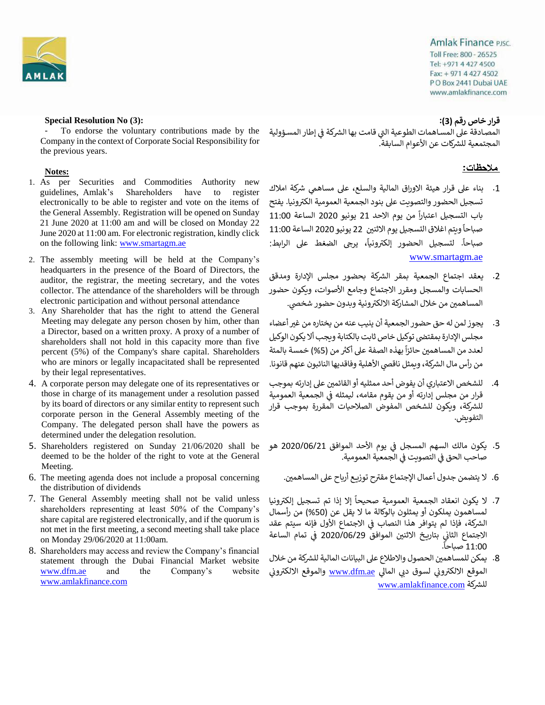

**Amlak Finance PJSC.** Toll Free: 800 - 26525 Tel: +971 4 427 4500 Fax: + 971 4 427 4502 PO Box 2441 Dubai UAE www.amlakfinance.com

**قرار خاص رقم )3(:**

المصادقة على المساهمات الطوعية التي قامت بها الشركة في إطار المسؤولية<br>.. Ş ن المجتمعية للشركات عن الأعوام السابقة.

## ملاحظات:

- 1. بناء على قرار هيئة الاوراق المالية والسلع، على مساهمي شركة املاك تسجيل الحضور والتصويت على بنود الجمعية العمومية الكترونيا. يفتح من يوم االحد ً باب التسجيل اعتبارا 21 يونيو 2020 الساعة 11:00 . . .<br>صباحاً ويتم اغلاق التسجيل يوم الاثنين 22 يونيو 2020 الساعة 11:00 .<br>صباحاً. لتسجيل الحضور إلكترونياً، يرجى الضغط على الرابط: [www.smartagm.ae](http://www.smartagm.ae/)
- 2. يعقد اجتماع الجمعية بمقر الشركة بحضور مجلس الإدارة ومدقق الحسابات والمسجل ومقرر االجتماع وجامع األصوات، ويكون حضور المساهمين من خلال المشاركة الالكترونية وبدون حضور شخصي.
- 3. يجوز لمن له حق حضور الجمعية أن ينيب عنه من يختاره من غير أعضاء مجلس الإدارة بمقتضى توكيل خاص ثابت بالكتابة ويجب ألا يكون الوكيل ت على التحت عن كل عن .<br>لعدد من المساهمين حائزاً بهذه الصفة على أكثر من (5%) خمسة بالمئة نمن رأس مال الشركة، ويمثل ناقصي الأهلية وفاقديها النائبون عنهم قانونا.
- 4. للشخص الاعتباري أن يفوض أحد ممثليه أو القائمين على إدارته بموجب قرار من مجلس إدارته أو من يقوم مقامه، ليمثله في الجمعية العمومية  $\ddot{\phantom{a}}$ ن للشركة، ويكون للشخص المفوض الصلاحيات المقررة بموجب قرار التفويض.
- 5. يكون مالك السهم المسجل في يوم الأحد الموافق 2020/06/21 هو ن صاحب الحق في التصويت في الجمعية العمومية. å ن ; ن
	- 6. لا يتضمن جدول أعمال الإجتماع مقترح توزيع أرباح على المساهمين.
- .<br>7. لا يكون انعقاد الجمعية العمومية صحيحاً إلا إذا تم تسجيل إلكترونيا لمساهمون يملكون أو يمثلون بالوكالة ما لا يقل عن (50%) من رأسمال الشركة، فَإذا لم يتوافر هذا النصاب في الاجتماع الأول فإنه سيتم عقد å ن الاجتماع الثاني بتاريخ الاثنين الموافق 2020/06/29 في تمام الساعة<br>11.00 ė : ن 11:00 صباحاً.
- 8. يمكن للمساهمين الحصول والاطلاع على البيانات المالية للشركة من خلال الموقع الالكتروني لسوق دبي المالي <u>www.dfm.ae</u> والموقع الالكتروني ė è رشكة [www.amlakfinance.com](http://www.amlakfinance.com/) لل

## **Special Resolution No (3):**

To endorse the voluntary contributions made by the Company in the context of Corporate Social Responsibility for the previous years.

## **Notes:**

- 1. As per Securities and Commodities Authority new guidelines, Amlak's Shareholders have to register electronically to be able to register and vote on the items of the General Assembly. Registration will be opened on Sunday 21 June 2020 at 11:00 am and will be closed on Monday 22 June 2020 at 11:00 am. For electronic registration, kindly click on the following link: [www.smartagm.ae](http://www.smartagm.ae/)
- 2. The assembly meeting will be held at the Company's headquarters in the presence of the Board of Directors, the auditor, the registrar, the meeting secretary, and the votes collector. The attendance of the shareholders will be through electronic participation and without personal attendance
- 3. Any Shareholder that has the right to attend the General Meeting may delegate any person chosen by him, other than a Director, based on a written proxy. A proxy of a number of shareholders shall not hold in this capacity more than five percent (5%) of the Company's share capital. Shareholders who are minors or legally incapacitated shall be represented by their legal representatives.
- 4. A corporate person may delegate one of its representatives or those in charge of its management under a resolution passed by its board of directors or any similar entity to represent such corporate person in the General Assembly meeting of the Company. The delegated person shall have the powers as determined under the delegation resolution.
- 5. Shareholders registered on Sunday 21/06/2020 shall be deemed to be the holder of the right to vote at the General Meeting.
- 6. The meeting agenda does not include a proposal concerning the distribution of dividends
- 7. The General Assembly meeting shall not be valid unless shareholders representing at least 50% of the Company's share capital are registered electronically, and if the quorum is not met in the first meeting, a second meeting shall take place on Monday 29/06/2020 at 11:00am.
- 8. Shareholders may access and review the Company's financial statement through the Dubai Financial Market website www.dfm.ae and the Company's website [www.amlakfinance.com](http://www.amlakfinance.com/)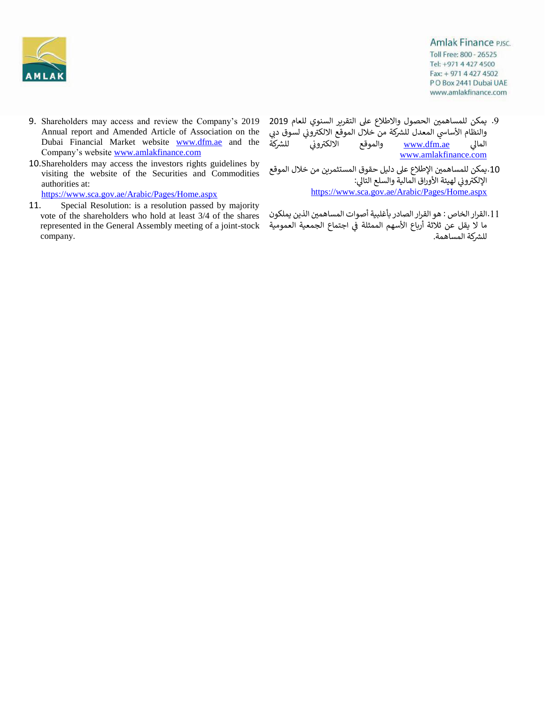

- 9. Shareholders may access and review the Company's 2019 Annual report and Amended Article of Association on the Dubai Financial Market website www.dfm.ae and the Company's website [www.amlakfinance.com](http://www.amlakfinance.com/)
- 10.Shareholders may access the investors rights guidelines by visiting the website of the Securities and Commodities authorities at:

<https://www.sca.gov.ae/Arabic/Pages/Home.aspx>

11. Special Resolution: is a resolution passed by majority vote of the shareholders who hold at least 3/4 of the shares represented in the General Assembly meeting of a joint-stock company.

**Amlak Finance PJSC.** Toll Free: 800 - 26525 Tel: +971 4 427 4500 Fax: + 971 4 427 4502 PO Box 2441 Dubai UAE www.amlakfinance.com

- 9. يمكن للمساهمين الحصول والاطلاع على التقرير السنوي للعام 2019 س من من من حد عدل الشركة من خلال الموقع الالكتروني لسوق دبي<br>والنظام الأساسي المعدل للشركة من خلال الموقع الالكتروني لسوق دبي : العالي <u>www.dfm.ae</u> والموقع الالكتروني للشركة للشركة ŕ ،<br>الموقع الالكتروني [www.amlakfinance.com](http://www.amlakfinance.com/)
- 10 .يمكن للمساهمين الإطلاع على دليل حقوق المستثمرين من خلال الموقع .<br>الإلكتروني لهيئة الأوراق المالية والسلع التالي: ė <https://www.sca.gov.ae/Arabic/Pages/Home.aspx>
- القرار الخاص : هو القرار الصادر بأغلبية أصوات المساهم ين .11 الذين يملكون ما لا يقل عن ثلاثة أرباع الأسهم الممثلة في اجتماع الجمعية العمومية å ن للشركة المساهمة.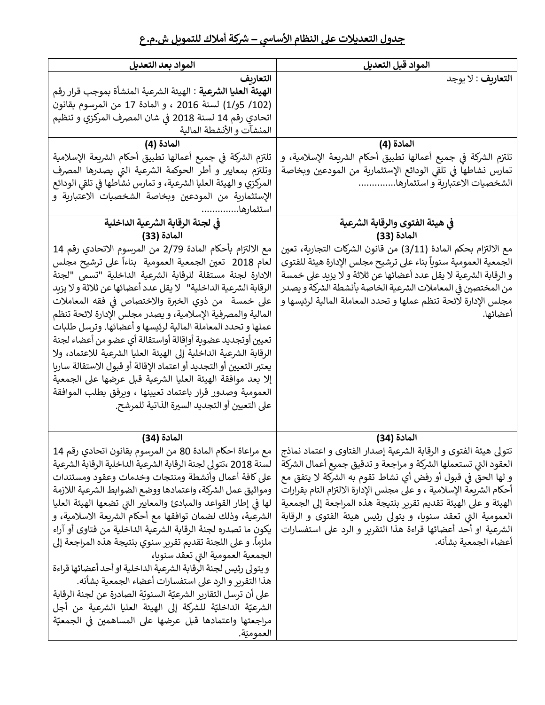## **رشكة أمالك للتمويل ش.م.ع يس – جدول التعديالت عىل النظام األسا**

| المواد بعد التعديل                                                                                                  | المواد قبل التعديل                                                                                                                 |
|---------------------------------------------------------------------------------------------------------------------|------------------------------------------------------------------------------------------------------------------------------------|
| التعارىف                                                                                                            | ا <b>لتعاريف</b> : لا يوجد                                                                                                         |
| <b>الهيئة العليا الشرعية</b> : الهيئة الشرعية المنشأة بموجب قرار رقم                                                |                                                                                                                                    |
| (102/ 5و/1) لسنة 2016 ، و المادة 17 من المرسوم بقانون                                                               |                                                                                                                                    |
| اتحادي رقم 14 لسنة 2018 في شان المصرف المركزي و تنظيم                                                               |                                                                                                                                    |
| المنشآت و الأنشطة المالية                                                                                           |                                                                                                                                    |
| المادة (4)                                                                                                          | المادة (4)                                                                                                                         |
| تلتزم الشركة في جميع أعمالها تطبيق أحكام الشريعة الإسلامية                                                          | تلتزم الشركة في جميع أعمالها تطبيق أحكام الشريعة الإسلامية، و                                                                      |
| وتلتزم بمعايير و أطر الحوكمة الشرعية التي يصدرها المصرف                                                             | تمارس نشاطها في تلقى الودائع الإستثمارية من المودعين وبخاصة                                                                        |
| المركزي و الهيئة العليا الشرعية، و تمارس نشاطها في تلقى الودائع                                                     | الشخصيات الاعتبارية و استثمارها                                                                                                    |
| الإستثمارية من المودعين وبخاصة الشخصيات الاعتبارية و                                                                |                                                                                                                                    |
| استثمارها.                                                                                                          |                                                                                                                                    |
| في لجنة الرقابة الشرعية الداخلية                                                                                    | في هيئة الفتوى والرقابة الشرعية                                                                                                    |
| المادة (33)                                                                                                         | المادة (33)                                                                                                                        |
| مع الالتزام بأحكام المادة 2/79 من المرسوم الاتحادي رقم 14                                                           | مع الالتزام بحكم المادة (3/11) من قانون الشركات التجارية، تعين                                                                     |
| لعام 2018  تعين الجمعية العمومية  بناءاً على ترشيح مجلس<br>الادارة لجنة مستقلة للرقابة الشرعية الداخلية "تسمى "لجنة | الجمعية العمومية سنوبأ بناء على ترشيح مجلس الإدارة هيئة للفتوى<br>و الرقابة الشرعية لا يقل عدد أعضائها عن ثلاثة و لا يزيد على خمسة |
| الرقابة الشرعية الداخلية"   لا يقل عدد أعضائها عن ثلاثة و لا يزبد                                                   | من المختصين في المعاملات الشرعية الخاصة بأنشطة الشركة و يصدر                                                                       |
| على خمسة   من ذوي الخبرة والاختصاص في فقه المعاملات                                                                 | مجلس الإدارة لائحة تنظم عملها و تحدد المعاملة المالية لرئيسها و                                                                    |
| المالية والمصرفية الإسلامية، و يصدر مجلس الإدارة لائحة تنظم                                                         | أعضائها.                                                                                                                           |
| عملها و تحدد المعاملة المالية لرئيسها و أعضائها. وترسل طلبات                                                        |                                                                                                                                    |
| تعيين أوتجديد عضوية أواقالة أواستقالة أي عضو من أعضاء لجنة                                                          |                                                                                                                                    |
| الرقابة الشرعية الداخلية إلى الهيئة العليا الشرعية للاعتماد، ولا                                                    |                                                                                                                                    |
| يعتبر التعيين أو التجديد أو اعتماد الإقالة أو قبول الاستقالة ساريا                                                  |                                                                                                                                    |
| إلا بعد موافقة الهيئة العليا الشرعية قبل عرضها على الجمعية                                                          |                                                                                                                                    |
| العمومية وصدور قرار باعتماد تعيينها ، وبرفق بطلب الموافقة                                                           |                                                                                                                                    |
| على التعيين أو التجديد السيرة الذاتية للمرشح.                                                                       |                                                                                                                                    |
|                                                                                                                     |                                                                                                                                    |
| المادة (34)                                                                                                         | المادة (34)                                                                                                                        |
|                                                                                                                     | تتولى هيئة الفتوى و الرقابة الشرعية إصدار الفتاوى و اعتماد نماذج   مع مراعاة احكام المادة 80 من المرسوم بقانون اتحادي رقم 14       |
| لسنة 2018 ،تتولى لجنة الرقابة الشرعية الداخلية الرقابة الشرعية                                                      | العقود التي تستعملها الشركة و مراجعة و تدقيق جميع أعمال الشركة                                                                     |
| على كافة أعمال وأنشطة ومنتجات وخدمات وعقود ومستندات                                                                 | و لها الحق في قبول أو رفض أي نشاط تقوم به الشركة لا يتفق مع                                                                        |
| ومواثيق عمل الشركة، واعتمادها ووضع الضوابط الشرعية اللازمة                                                          | أحكام الشريعة الإسلامية ، و على مجلس الإدارة الالتزام التام بقرارات                                                                |
| لها في إطار القواعد والمبادئ والمعايير التي تضعها الهيئة العليا                                                     | الهيئة و على الهيئة تقديم تقرير بنتيجة هذه المراجعة إلى الجمعية                                                                    |
| الشرعية، وذلك لضمان توافقها مع أحكام الشريعة الاسلامية، و                                                           | العمومية التي تعقد سنويا، و يتولى رئيس هيئة الفتوى و الرقابة                                                                       |
| يكون ما تصدره لجنة الرقابة الشرعية الداخلية من فتاوى أو آراء                                                        | الشرعية او أحد أعضائها قراءة هذا التقرير و الرد على استفسارات                                                                      |
| ملزماً. و على اللجنة تقديم تقرير سنوي بنتيجة هذه المراجعة إلى                                                       | أعضاء الجمعية بشأنه.                                                                                                               |
| الجمعية العمومية التي تعقد سنويا،                                                                                   |                                                                                                                                    |
| و يتولى رئيس لجنة الرقابة الشرعية الداخلية او أحد أعضائها قراءة                                                     |                                                                                                                                    |
| هذا التقرير و الرد على استفسارات أعضاء الجمعية بشأنه.                                                               |                                                                                                                                    |
| على أن ترسل التقارير الشرعيّة السنويّة الصادرة عن لجنة الرقابة                                                      |                                                                                                                                    |
| الشرعيّة الداخليّة للشركة إلى الهيئة العليا الشرعية من أجل                                                          |                                                                                                                                    |
| مراجعتها واعتمادها قبل عرضها على المساهمين في الجمعيّة                                                              |                                                                                                                                    |
| العموميّة.                                                                                                          |                                                                                                                                    |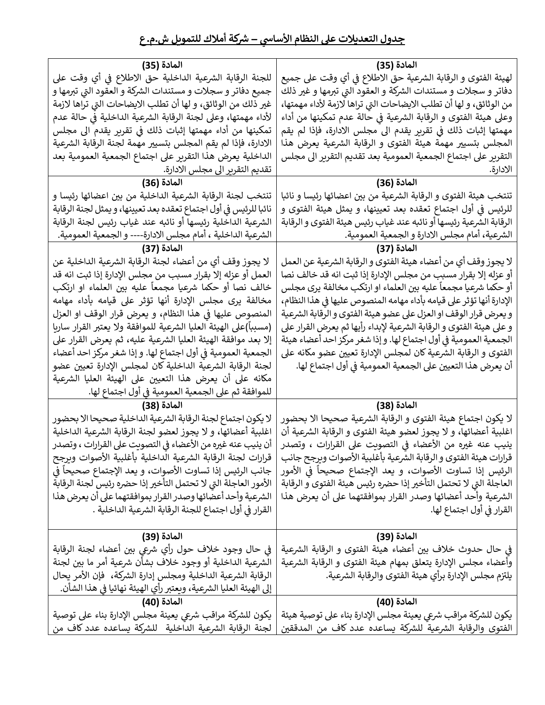| المادة (35)                                                       | المادة (35)                                                          |
|-------------------------------------------------------------------|----------------------------------------------------------------------|
| للجنة الرقابة الشرعية الداخلية حق الاطلاع في أي وقت على           | لهيئة الفتوى و الرقابة الشرعية حق الاطلاع في أي وقت على جميع         |
| جميع دفاتر و سجلات و مستندات الشركة و العقود التي تبرمها و        | دفاتر و سجلات و مستندات الشركة و العقود التي تبرمها و غير ذلك        |
| غير ذلك من الوثائق، و لها أن تطلب الايضاحات التي تراها لازمة      | من الوثائق، و لها أن تطلب الايضاحات التي تراها لازمة لأداء مهمتها،   |
| لأداء مهمتها، وعلى لجنة الرقابة الشرعية الداخلية في حالة عدم      | وعلى هيئة الفتوى و الرقابة الشرعية في حالة عدم تمكينها من أداء       |
| تمكينها من أداء مهمتها إثبات ذلك في تقرير يقدم الى مجلس           | مهمتها إثبات ذلك في تقرير يقدم الى مجلس الادارة، فإذا لم يقم         |
| الادارة، فإذا لم يقم المجلس بتسيير مهمة لجنة الرقابة الشرعية      | المجلس بتسيير مهمة هيئة الفتوى و الرقابة الشرعية يعرض هذا            |
| الداخلية يعرض هذا التقرير على اجتماع الجمعية العمومية بعد         | التقرير على اجتماع الجمعية العمومية بعد تقديم التقرير الى مجلس       |
| تقديم التقرير الى مجلس الادارة.                                   | الادارة.                                                             |
| المادة (36)                                                       | المادة (36)                                                          |
| تنتخب لجنة الرقابة الشرعية الداخلية من بين اعضائها رئيسا و        | تنتخب هيئة الفتوى و الرقابة الشرعية من بين اعضائها رئيسا و نائبا     |
| نائبا للرئيس في أول اجتماع تعقده بعد تعيينها، و يمثل لجنة الرقابة | للرئيس في أول اجتماع تعقده بعد تعيينها، و يمثل هيئة الفتوى و         |
| الشرعية الداخلية رئيسها أو نائبه عند غياب رئيس لجنة الرقابة       | الرقابة الشرعية رئيسها أو نائبه عند غياب رئيس هيئة الفتوى و الرقابة  |
| الشرعية الداخلية ، أمام مجلس الادارة---- و الجمعية العمومية.      | الشرعية، أمام مجلس الادارة و الجمعية العمومية.                       |
| المادة (37)                                                       | المادة (37)                                                          |
| لا يجوز وقف أي من أعضاء لجنة الرقابة الشرعية الداخلية عن          | لا يجوز وقف أي من أعضاء هيئة الفتوى و الرقابة الشرعية عن العمل       |
| العمل أو عزله إلا بقرار مسبب من مجلس الإدارة إذا ثبت انه قد       | أو عزله إلا بقرار مسبب من مجلس الإدارة إذا ثبت انه قد خالف نصا       |
| خالف نصا أو حكما شرعيا مجمعاً عليه بين العلماء او ارتكب           | أو حكما شرعيا مجمعاً عليه بين العلماء او ارتكب مخالفة يرى مجلس       |
| مخالفة يرى مجلس الإدارة أنها تؤثر على قيامه بأداء مهامه           | الإدارة أنها تؤثر على قيامه بأداء مهامه المنصوص عليها في هذا النظام، |
| المنصوص عليها في هذا النظام، و يعرض قرار الوقف او العزل           | و يعرض قرار الوقف او العزل على عضو هيئة الفتوى و الرقابة الشرعية     |
| (مسبباً)على الهيئة العليا الشرعية للموافقة ولا يعتبر القرار ساريا | و على هيئة الفتوى و الرقابة الشرعية لإبداء رأيها ثم يعرض القرار على  |
| إلا بعد موافقة الهيئة العليا الشرعية عليه، ثم يعرض القرار على     | الجمعية العمومية في أول اجتماع لها. و إذا شغر مركز احد أعضاء هيئة    |
| الجمعية العمومية في أول اجتماع لها. و إذا شغر مركز احد أعضاء      | الفتوى و الرقابة الشرعية كان لمجلس الإدارة تعيين عضو مكانه على       |
| لجنة الرقابة الشرعية الداخلية كان لمجلس الإدارة تعيين عضو         | أن يعرض هذا التعيين على الجمعية العمومية في أول اجتماع لها.          |
| مكانه على أن يعرض هذا التعيين على الهيئة العليا الشرعية           |                                                                      |
| للموافقة ثم على الجمعية العمومية في أول اجتماع لها.               |                                                                      |
| المادة (38)                                                       | المادة (38)                                                          |
| لا يكون اجتماع لجنة الرقابة الشرعية الداخلية صحيحا الا بحضور      | لا يكون اجتماع هيئة الفتوى و الرقابة الشرعية صحيحا الا بحضور         |
| اغلبية أعضائها، و لا يجوز لعضو لجنة الرقابة الشرعية الداخلية      | اغلبية أعضائها، و لا يجوز لعضو هيئة الفتوى و الرقابة الشرعية أن      |
| أن ينيب عنه غيره من الأعضاء في التصويت على القرارات ، وتصدر       | ينيب عنه غيره من الأعضاء في التصويت على القرارات ، وتصدر             |
| قرارات لجنة الرقابة الشرعية الداخلية بأغلبية الأصوات ويرجح        | قرارات هيئة الفتوى و الرقابة الشرعية بأغلبية الأصوات ويرجح جانب      |
| جانب الرئيس إذا تساوت الأصوات، و يعد الإجتماع صحيحاً في           | الرئيس إذا تساوت الأصوات، و يعد الإجتماع صحيحاً في الأمور            |
| الأمور العاجلة التي لا تحتمل التأخير إذا حضره رئيس لجنة الرقابة   | العاجلة التي لا تحتمل التأخير إذا حضره رئيس هيئة الفتوى و الرقابة    |
| الشرعية وأحد أعضائها وصدر القرار بموافقتهما على أن يعرض هذا       | الشرعية وأحد أعضائها وصدر القرار بموافقتهما على أن يعرض هذا          |
| القرار في أول اجتماع للجنة الرقابة الشرعية الداخلية .             | القرار في أول اجتماع لها.                                            |
|                                                                   |                                                                      |
| المادة (39)                                                       | المادة (39)                                                          |
| في حال وجود خلاف حول رأي شرعي بين أعضاء لجنة الرقابة              | في حال حدوث خلاف بين أعضاء هيئة الفتوى و الرقابة الشرعية             |
| الشرعية الداخلية أو وجود خلاف بشأن شرعية أمر ما بين لجنة          | وأعضاء مجلس الإدارة يتعلق بمهام هيئة الفتوى و الرقابة الشرعية        |
| الرقابة الشرعية الداخلية ومجلس إدارة الشركة،  فإن الأمر يحال      | يلتزم مجلس الإدارة برأي هيئة الفتوى والرقابة الشرعية.                |
| إلى الهيئة العليا الشرعية، ويعتبر رأي الهيئة نهائيا في هذا الشأن. |                                                                      |
| المادة (40)                                                       | المادة (40)                                                          |
| يكون للشركة مراقب شرعى يعينة مجلس الإدارة بناء على توصية          | يكون للشركة مراقب شرعي يعينة مجلس الإدارة بناء على توصية هيئة        |
| لجنة الرقابة الشرعية الداخلية  للشركة يساعده عدد كاف من           | الفتوى والرقابة الشرعية للشركة يساعده عدد كاف من المدققين            |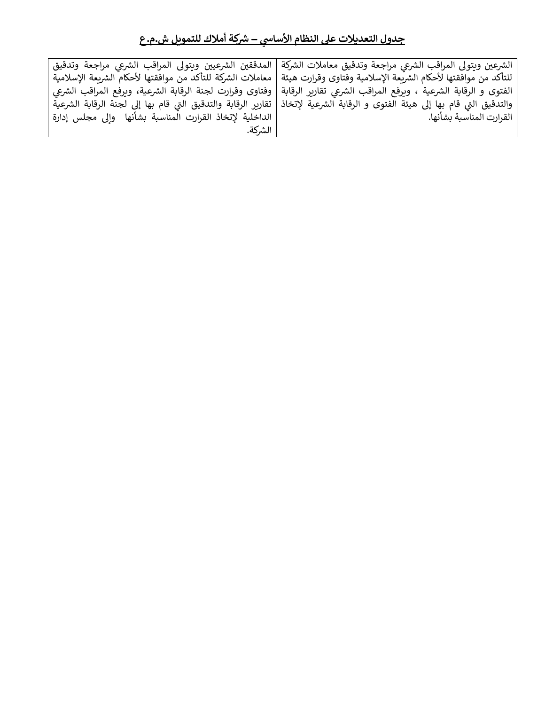|                                                          | الشرعين ويتولى المراقب الشرعى مراجعة وتدقيق معاملات الشركة   المدققين الشرعيين ويتولى المراقب الشرعي مراجعة وتدقيق             |
|----------------------------------------------------------|--------------------------------------------------------------------------------------------------------------------------------|
|                                                          | للتأكد من موافقتها لأحكام الشريعة الإسلامية وفتاوى وقرارت هيئة   معاملات الشركة للتأكد من موافقتها لأحكام الشريعة الإسلامية    |
|                                                          | الفتوى و الرقابة الشرعية ، ويرفع المراقب الشرعي تقارير الرقابة   وفتاوى وقرارت لجنة الرقابة الشرعية، ويرفع المراقب الشرعي      |
|                                                          | والتدقيق التي قام بها إلى هيئة الفتوى و الرقابة الشرعية لإتخاذ   تقارير الرقابة والتدقيق التي قام بها إلى لجنة الرقابة الشرعية |
| الداخلية لإتخاذ القرارت المناسبة بشأنها  وإلى مجلس إدارة | القرارت المناسبة بشأنها.                                                                                                       |
| الشركة.                                                  |                                                                                                                                |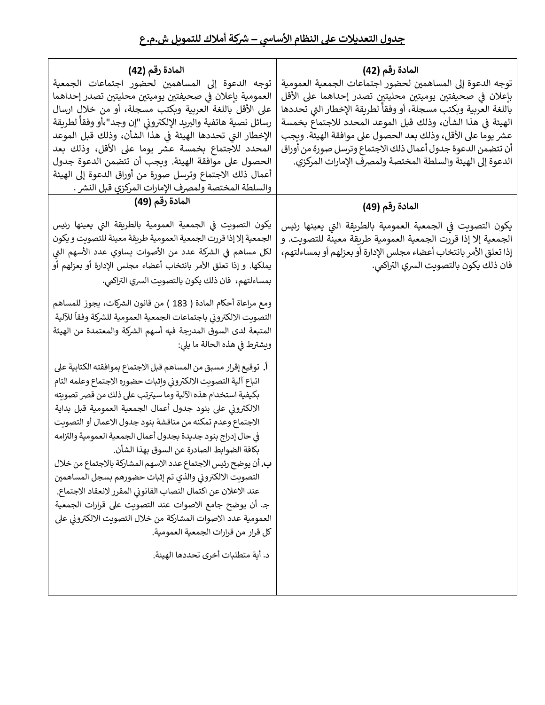| المادة رقم (42)                                                    | المادة رقم (42)                                                   |  |
|--------------------------------------------------------------------|-------------------------------------------------------------------|--|
| توجه الدعوة إلى المساهمين لحضور اجتماعات الجمعية                   | توجه الدعوة إلى المساهمين لحضور اجتماعات الجمعية العمومية         |  |
| العمومية باعلان في صحيفتين يوميتين محليتين تصدر إحداهما            | بإعلان في صحيفتين يوميتين محليتين تصدر إحداهما على الأقل          |  |
| على الأقل باللغة العربية وبكتب مسجلة، أو من خلال ارسال             | باللغة العربية وبكتب مسجلة، أو وفقأ لطريقة الإخطار التي تحددها    |  |
| رسائل نصية هاتفية والبريد الإلكترونى "إن وجد"،أو وفقأ لطريقة       | الهيئة في هذا الشأن، وذلك قبل الموعد المحدد للاجتماع بخمسة        |  |
| الإخطار التي تحددها الهيئة في هذا الشأن، وذلك قبل الموعد           | عشر يوما على الأقل، وذلك بعد الحصول على موافقة الهيئة. ويجب       |  |
| المحدد للاجتماع بخمسة عشر يوما على الأقل، وذلك بعد                 | أن تتضمن الدعوة جدول أعمال ذلك الاجتماع وترسل صورة من أوراق       |  |
| الحصول على موافقة الهيئة. ويجب أن تتضمن الدعوة جدول                | الدعوة إلى الهيئة والسلطة المختصة ولمصرف الإمارات المركزي.        |  |
| أعمال ذلك الاجتماع وترسل صورة من أوراق الدعوة إلى الهيئة           |                                                                   |  |
| والسلطة المختصة ولمصرف الإمارات المركزي قبل النشر .                |                                                                   |  |
| المادة رقم (49)                                                    | المادة رقم (49)                                                   |  |
| يكون التصويت في الجمعية العمومية بالطريقة التي يعينها رئيس         | يكون التصويت في الجمعية العمومية بالطريقة التي يعينها رئيس        |  |
| الجمعية إلا إذا قررت الجمعية العمومية طريقة معينة للتصويت و يكون   | الجمعية إلا إذا قررت الجمعية العمومية طريقة معينة للتصويت. و      |  |
| لكل مساهم في الشركة عدد من الأصوات يساوي عدد الأسهم التي           | إذا تعلق الأمر بانتخاب أعضاء مجلس الإدارة أو بعزلهم أو بمساءلتهم، |  |
| يملكها. و إذا تعلق الأمر بانتخاب أعضاء مجلس الإدارة أو بعزلهم أو   | ّ فان ذلك يكون بالتصويت السري التراكمي.                           |  |
| بمساءلتهم،  فان ذلك يكون بالتصويت السري التراكمي.                  |                                                                   |  |
| ومع مراعاة أحكام المادة ( 183 ) من قانون الشركات، يجوز للمساهم     |                                                                   |  |
| التصويت الالكتروني باجتماعات الجمعية العمومية للشركة وفقأ للآلية   |                                                                   |  |
| المتبعة لدى السوق المدرجة فيه أسهم الشركة والمعتمدة من الهيئة      |                                                                   |  |
| وبشترط في هذه الحالة ما يلي:                                       |                                                                   |  |
| أ.  توقيع إقرار مسبق من المساهم قبل الاجتماع بموافقته الكتابية على |                                                                   |  |
| اتباع آلية التصويت الالكتروني وإثبات حضوره الاجتماع وعلمه التام    |                                                                   |  |
| بكيفية استخدام هذه الآلية وما سيترتب على ذلك من قصر تصويته         |                                                                   |  |
| الالكتروني على بنود جدول أعمال الجمعية العمومية قبل بداية          |                                                                   |  |
| الاجتماع وعدم تمكنه من مناقشة بنود جدول الاعمال أو التصويت         |                                                                   |  |
| في حال إدراج بنود جديدة بجدول أعمال الجمعية العمومية والتزامه      |                                                                   |  |
| بكافة الضوابط الصادرة عن السوق بهذا الشأن.                         |                                                                   |  |
| ب. أن يوضح رئيس الاجتماع عدد الاسهم المشاركة بالاجتماع من خلال     |                                                                   |  |
| التصويت الالكتروني والذي تم إثبات حضورهم بسجل المساهمين            |                                                                   |  |
| عند الاعلان عن اكتمال النصاب القانوني المقرر لانعقاد الاجتماع.     |                                                                   |  |
| جـ. أن يوضح جامع الاصوات عند التصويت على قرارات الجمعية            |                                                                   |  |
| العمومية عدد الاصوات المشاركة من خلال التصويت الالكتروني على       |                                                                   |  |
| كل قرار من قرارات الجمعية العمومية.                                |                                                                   |  |
| د. أية متطلبات أخرى تحددها الهيئة.                                 |                                                                   |  |
|                                                                    |                                                                   |  |
|                                                                    |                                                                   |  |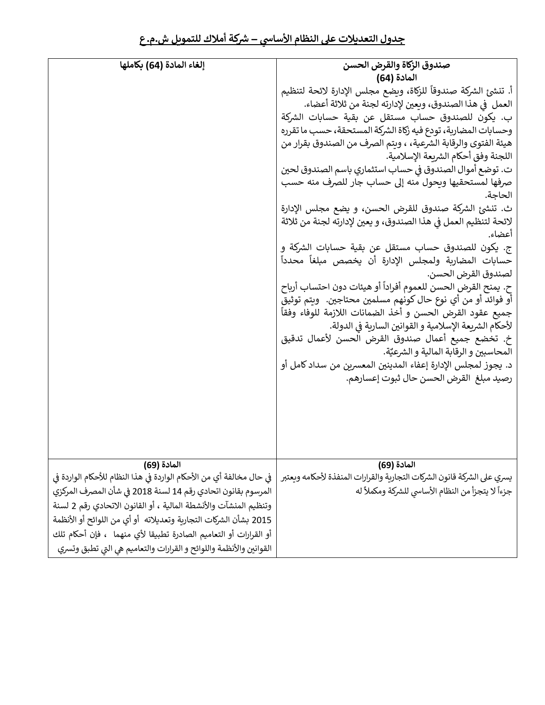| إلغاء المادة (64) بكاملها                                            | صندوق الزكاة والقرض الحسن                                               |
|----------------------------------------------------------------------|-------------------------------------------------------------------------|
|                                                                      | المادة (64)                                                             |
|                                                                      | أ. تنشئ الشركة صندوقاً للزكاة، ويضع مجلس الإدارة لائحة لتنظيم           |
|                                                                      | العمل ۖ في هذا الصندوق، وبعين لإدارته لجنة من ثلاثة أعضاء.              |
|                                                                      | ب. يكون للصندوق حساب مستقل عن بقية حسابات الشركة                        |
|                                                                      | وحسابات المضاربة، تودع فيه زكاة الشركة المستحقة، حسب ما تقرره           |
|                                                                      | هيئة الفتوى والرقابة الشرعية، ، ويتم الصرف من الصندوق بقرار من          |
|                                                                      | اللجنة وفق أحكام الشربعة الإسلامية.                                     |
|                                                                      | ت. توضع أموال الصندوق في حساب استثماري باسم الصندوق لحين                |
|                                                                      | صرفها لمستحقيها ويحول منه إلى حساب جار للصرف منه حسب                    |
|                                                                      | الحاجة.                                                                 |
|                                                                      | ث. تنشئ الشركة صندوق للقرض الحسن، و يضع مجلس الإدارة                    |
|                                                                      | لائحة لتنظيم العمل في هذا الصندوق، و يعين لإدارته لجنة من ثلاثة         |
|                                                                      | أعضاء.                                                                  |
|                                                                      | ج. يكون للصندوق حساب مستقل عن بقية حسابات الشركة و                      |
|                                                                      | حسابات المضاربة ولمجلس الإدارة أن يخصص مبلغاً محدداً                    |
|                                                                      | لصندوق القرض الحسن.                                                     |
|                                                                      | ح. يمنح القرض الحسن للعموم أفراداً أو هيئات دون احتساب أرباح            |
|                                                                      | أو فوائد أو من أي نوع حال كونهم مسلمين محتاجين.  ويتم توثيق             |
|                                                                      | جميع عقود القرض الحسن و أخذ الضمانات اللازمة للوفاء وفقاً               |
|                                                                      | لأحكام الشريعة الإسلامية و القوانين السارية في الدولة.                  |
|                                                                      | خ. تخضع جميع أعمال صندوق القرض الحسن لأعمال تدقيق                       |
|                                                                      | ِ المحاسبين و الرقابة المالية و الشرعيَّة.                              |
|                                                                      | د. يجوز لمجلس الإدارة إعفاء المدينين المعسربن من سداد كامل أو           |
|                                                                      | رصيد مبلغ  القرض الحسن حال ثبوت إعسارهم.                                |
|                                                                      |                                                                         |
|                                                                      |                                                                         |
|                                                                      |                                                                         |
|                                                                      |                                                                         |
|                                                                      |                                                                         |
| المادة (69)                                                          | المادة (69)                                                             |
| في حال مخالفة أي من الأحكام الواردة في هذا النظام للأحكام الواردة في | يسري على الشركة قانون الشركات التجارية والقرارات المنفذة لأحكامه ويعتبر |
| المرسوم بقانون اتحادي رقم 14 لسنة 2018 في شأن المصرف المركزي         | جزءاً لا يتجزأ من النظام الأساسي للشركة ومكملاً له                      |
| وتنظيم المنشآت والأنشطة المالية ، أو القانون الاتحادي رقم 2 لسنة     |                                                                         |
| 2015 بشأن الشركات التجارية وتعديلاته  أو أي من اللوائح أو الأنظمة    |                                                                         |
| أو القرارات أو التعاميم الصادرة تطبيقا لأي منهما  ، فإن أحكام تلك    |                                                                         |
| القوانين والأنظمة واللوائح و القرارات والتعاميم هي التي تطبق وتسري   |                                                                         |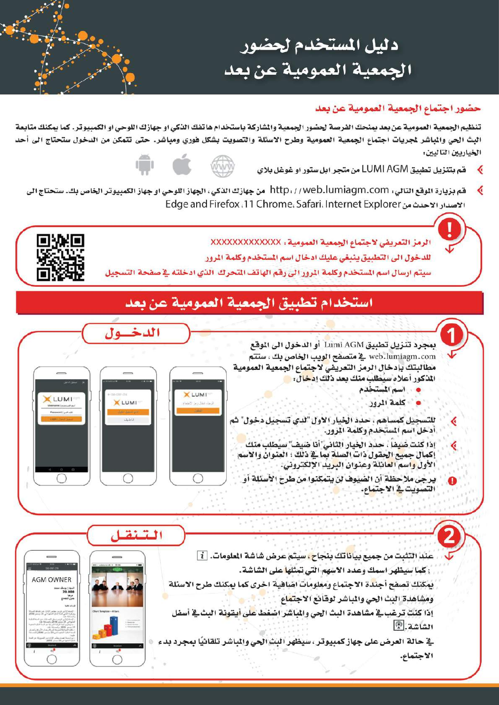دليل المستخدم لحضور الجمعية العمومية عن بعد

## حضور اجتماع الجمعية العمومية عن بعد

تنظيم الجمعية العمومية عن بعد يمنحك الفرصة لحضور الجمعية والشاركة باستخدام هاتفك الذكي او جهازك اللوحي او الكمبيوتر. كما يمكنك متابعة البث الحي والمباشر لجريات اجتماع الجمعية العمومية وطرح الاسئلة والتصويت بشكل فوري ومباشر. حتى تتمكن من الدخول ستحتاج الى أحد الخياريين التاليين:

قم بتنزيل تطبيق LUMI AGM من متجر ابل ستور او غوغل بلاي



قم بزيارة الموقع التالي، http: / /web.lumiagm.com من جهازك الذكي، الجهاز اللوحي او جهاز الكمبيوتر الخاص بك. ستحتاج الى الاصدار الاحدث من Edge and Firefox ،11 Chrome، Safari، Internet Explorer

> الرمز التعريضي لاجتماع الجمعية العمومية : XXXXXXXXXXXXX للدخول الى التطبيق ينبغي عليك ادخال اسم المستخدم وكلمة الرور سيتم ارسال اسم المستخدم وكلمة الرور الى رقم الهاتف التحرك الذي ادخلته في صفحة التسجيل



## استخدام تطبيق الجمعية العمومية عن بعد

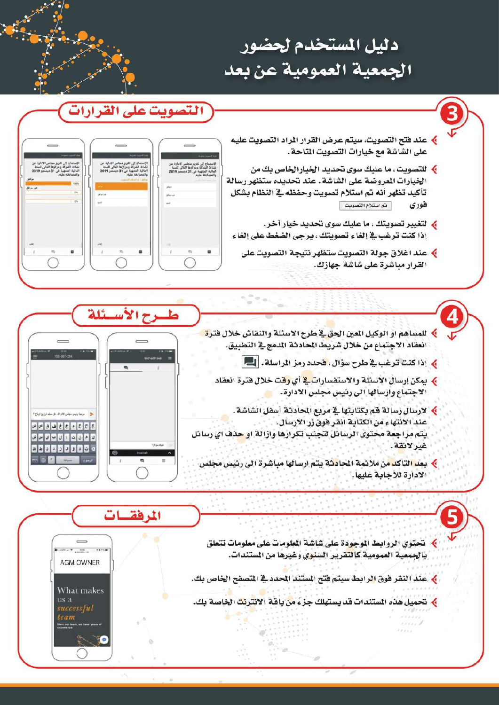# دليل المستخدم لحضور الجمعية العمومية عن بعد



- **﴾ للمساهم او الوكيل المين الحق في طرح الاسئلة والنقاش خلال فترة** انعقاد الاجتماع من خلال شريط الحادثة المدمج في التطبيق.
	- ﴾ إذا كنت ترغب في طرح سؤال ، فحدد رمز الراسلة . [11]
	- » يمكن إرسال الاسئلة والاستفسارات في أي وقت خلال فترة انعقاد الاجتماع وارسالها الى رئيس مجلس الادارة.
- ﴾ لارسال رسالة قم بكتابتها في مربع الحادثة أسفل الشاشة. عند الانتهاء من الكتابة انقر فوق زر الأرسال. يتم مراجعة محتوى الرسائل لتجنب تكرارها وازالة او حذف اي رسائل غبر لانقة.
	- <mark>). بعد التاكد م</mark>ن ملائمة الحادثة يتم ارسالها مباشرة الى رئيس مجلس الأدارة للأجابة عليها.